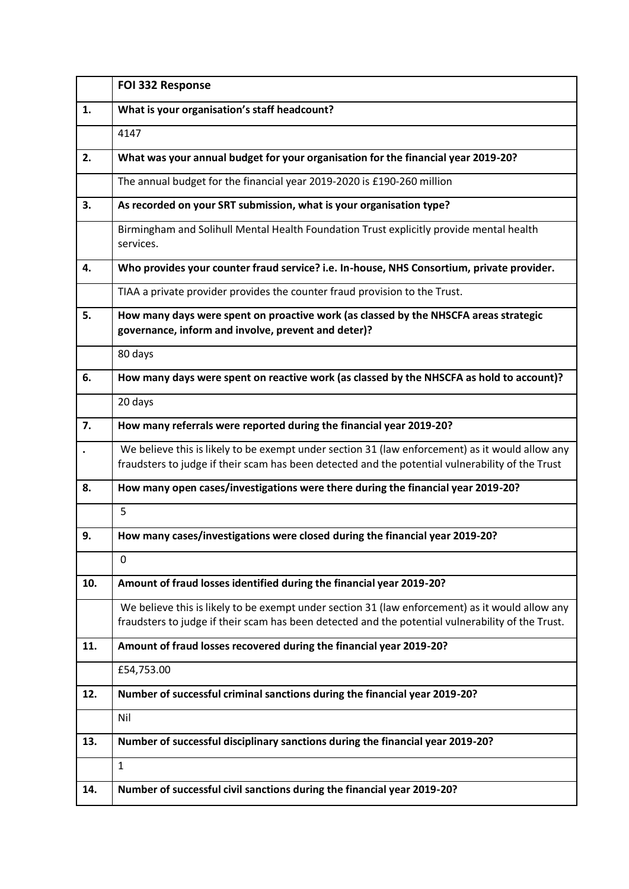|     | FOI 332 Response                                                                                                                                                                                     |
|-----|------------------------------------------------------------------------------------------------------------------------------------------------------------------------------------------------------|
| 1.  | What is your organisation's staff headcount?                                                                                                                                                         |
|     | 4147                                                                                                                                                                                                 |
| 2.  | What was your annual budget for your organisation for the financial year 2019-20?                                                                                                                    |
|     | The annual budget for the financial year 2019-2020 is £190-260 million                                                                                                                               |
| 3.  | As recorded on your SRT submission, what is your organisation type?                                                                                                                                  |
|     | Birmingham and Solihull Mental Health Foundation Trust explicitly provide mental health<br>services.                                                                                                 |
| 4.  | Who provides your counter fraud service? i.e. In-house, NHS Consortium, private provider.                                                                                                            |
|     | TIAA a private provider provides the counter fraud provision to the Trust.                                                                                                                           |
| 5.  | How many days were spent on proactive work (as classed by the NHSCFA areas strategic<br>governance, inform and involve, prevent and deter)?                                                          |
|     | 80 days                                                                                                                                                                                              |
| 6.  | How many days were spent on reactive work (as classed by the NHSCFA as hold to account)?                                                                                                             |
|     | 20 days                                                                                                                                                                                              |
| 7.  | How many referrals were reported during the financial year 2019-20?                                                                                                                                  |
|     | We believe this is likely to be exempt under section 31 (law enforcement) as it would allow any<br>fraudsters to judge if their scam has been detected and the potential vulnerability of the Trust  |
| 8.  | How many open cases/investigations were there during the financial year 2019-20?                                                                                                                     |
|     | 5                                                                                                                                                                                                    |
| 9.  | How many cases/investigations were closed during the financial year 2019-20?                                                                                                                         |
|     | $\mathbf 0$                                                                                                                                                                                          |
| 10. | Amount of fraud losses identified during the financial year 2019-20?                                                                                                                                 |
|     | We believe this is likely to be exempt under section 31 (law enforcement) as it would allow any<br>fraudsters to judge if their scam has been detected and the potential vulnerability of the Trust. |
| 11. | Amount of fraud losses recovered during the financial year 2019-20?                                                                                                                                  |
|     | £54,753.00                                                                                                                                                                                           |
| 12. | Number of successful criminal sanctions during the financial year 2019-20?                                                                                                                           |
|     | Nil                                                                                                                                                                                                  |
| 13. | Number of successful disciplinary sanctions during the financial year 2019-20?                                                                                                                       |
|     | $\mathbf{1}$                                                                                                                                                                                         |
| 14. | Number of successful civil sanctions during the financial year 2019-20?                                                                                                                              |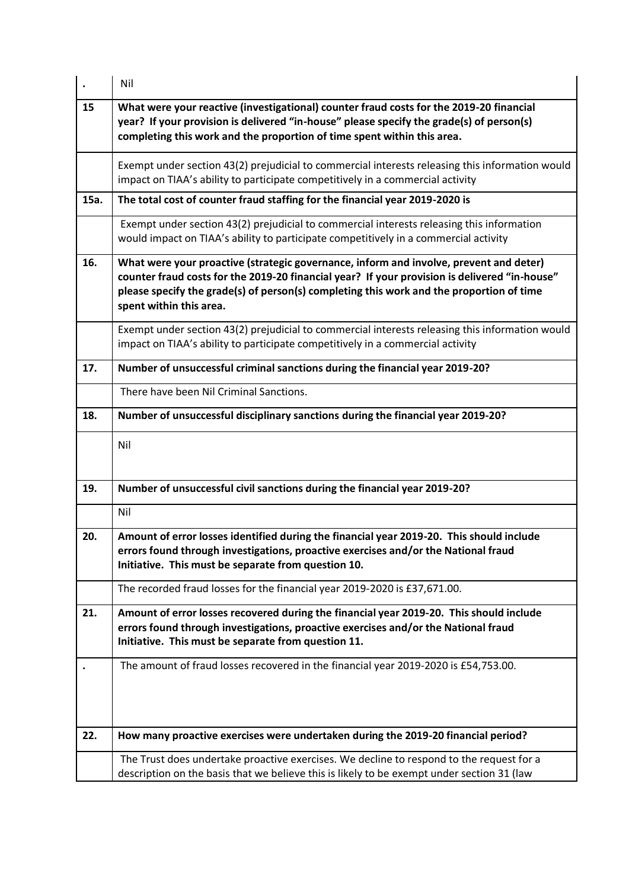|      | Nil                                                                                                                                                                                                                                                                                                            |
|------|----------------------------------------------------------------------------------------------------------------------------------------------------------------------------------------------------------------------------------------------------------------------------------------------------------------|
| 15   | What were your reactive (investigational) counter fraud costs for the 2019-20 financial<br>year? If your provision is delivered "in-house" please specify the grade(s) of person(s)<br>completing this work and the proportion of time spent within this area.                                                 |
|      | Exempt under section 43(2) prejudicial to commercial interests releasing this information would<br>impact on TIAA's ability to participate competitively in a commercial activity                                                                                                                              |
| 15a. | The total cost of counter fraud staffing for the financial year 2019-2020 is                                                                                                                                                                                                                                   |
|      | Exempt under section 43(2) prejudicial to commercial interests releasing this information<br>would impact on TIAA's ability to participate competitively in a commercial activity                                                                                                                              |
| 16.  | What were your proactive (strategic governance, inform and involve, prevent and deter)<br>counter fraud costs for the 2019-20 financial year? If your provision is delivered "in-house"<br>please specify the grade(s) of person(s) completing this work and the proportion of time<br>spent within this area. |
|      | Exempt under section 43(2) prejudicial to commercial interests releasing this information would<br>impact on TIAA's ability to participate competitively in a commercial activity                                                                                                                              |
| 17.  | Number of unsuccessful criminal sanctions during the financial year 2019-20?                                                                                                                                                                                                                                   |
|      | There have been Nil Criminal Sanctions.                                                                                                                                                                                                                                                                        |
| 18.  | Number of unsuccessful disciplinary sanctions during the financial year 2019-20?                                                                                                                                                                                                                               |
|      | Nil                                                                                                                                                                                                                                                                                                            |
| 19.  | Number of unsuccessful civil sanctions during the financial year 2019-20?                                                                                                                                                                                                                                      |
|      | Nil                                                                                                                                                                                                                                                                                                            |
| 20.  | Amount of error losses identified during the financial year 2019-20. This should include<br>errors found through investigations, proactive exercises and/or the National fraud<br>Initiative. This must be separate from question 10.                                                                          |
|      | The recorded fraud losses for the financial year 2019-2020 is £37,671.00.                                                                                                                                                                                                                                      |
| 21.  | Amount of error losses recovered during the financial year 2019-20. This should include<br>errors found through investigations, proactive exercises and/or the National fraud<br>Initiative. This must be separate from question 11.                                                                           |
|      | The amount of fraud losses recovered in the financial year 2019-2020 is £54,753.00.                                                                                                                                                                                                                            |
| 22.  | How many proactive exercises were undertaken during the 2019-20 financial period?                                                                                                                                                                                                                              |
|      | The Trust does undertake proactive exercises. We decline to respond to the request for a<br>description on the basis that we believe this is likely to be exempt under section 31 (law                                                                                                                         |